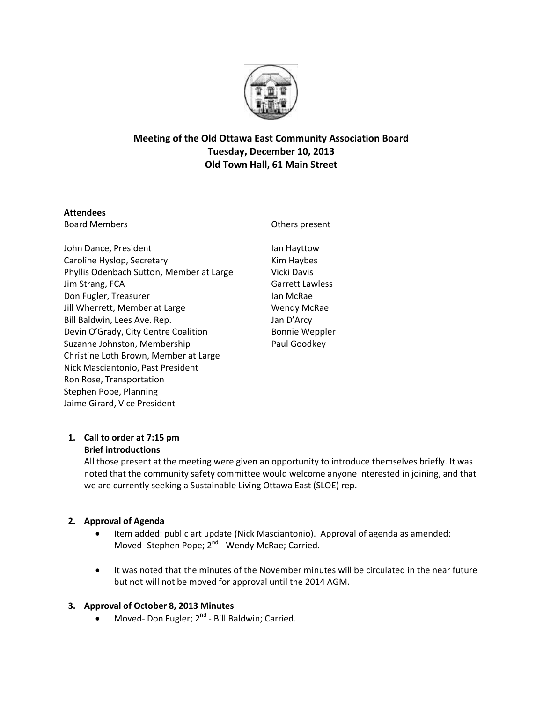

# **Meeting of the Old Ottawa East Community Association Board Tuesday, December 10, 2013 Old Town Hall, 61 Main Street**

# **Attendees**

Board Members

Others present

John Dance, President Caroline Hyslop, Secretary Phyllis Odenbach Sutton, Member at Large Jim Strang, FCA Don Fugler, Treasurer Jill Wherrett, Member at Large Bill Baldwin, Lees Ave. Rep. Devin O'Grady, City Centre Coalition Suzanne Johnston, Membership Christine Loth Brown, Member at Large Nick Masciantonio, Past President Ron Rose, Transportation Stephen Pope, Planning Jaime Girard, Vice President

Ian Hayttow Kim Haybes Vicki Davis Garrett Lawless Ian McRae Wendy McRae Jan D'Arcy Bonnie Weppler Paul Goodkey

# **1. Call to order at 7:15 pm Brief introductions**

All those present at the meeting were given an opportunity to introduce themselves briefly. It was noted that the community safety committee would welcome anyone interested in joining, and that we are currently seeking a Sustainable Living Ottawa East (SLOE) rep.

# **2. Approval of Agenda**

- Item added: public art update (Nick Masciantonio). Approval of agenda as amended: Moved- Stephen Pope; 2<sup>nd</sup> - Wendy McRae; Carried.
- It was noted that the minutes of the November minutes will be circulated in the near future but not will not be moved for approval until the 2014 AGM.

# **3. Approval of October 8, 2013 Minutes**

• Moved- Don Fugler; 2<sup>nd</sup> - Bill Baldwin; Carried.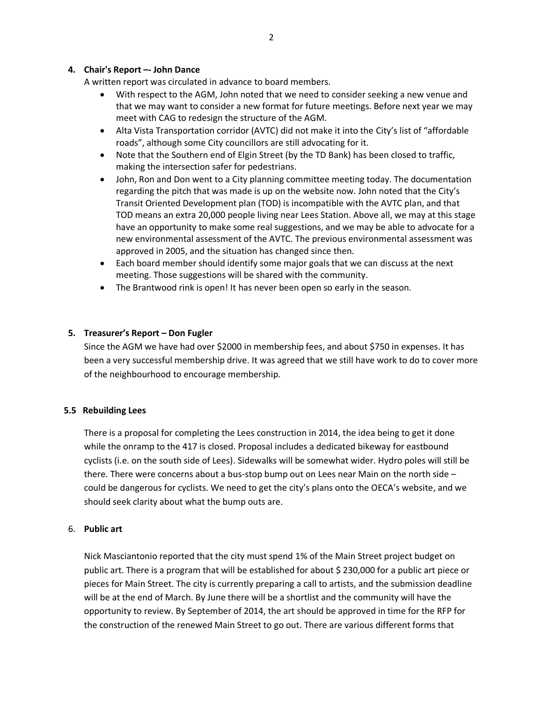### **4. Chair's Report –- John Dance**

A written report was circulated in advance to board members.

- With respect to the AGM, John noted that we need to consider seeking a new venue and that we may want to consider a new format for future meetings. Before next year we may meet with CAG to redesign the structure of the AGM.
- Alta Vista Transportation corridor (AVTC) did not make it into the City's list of "affordable roads", although some City councillors are still advocating for it.
- Note that the Southern end of Elgin Street (by the TD Bank) has been closed to traffic, making the intersection safer for pedestrians.
- John, Ron and Don went to a City planning committee meeting today. The documentation regarding the pitch that was made is up on the website now. John noted that the City's Transit Oriented Development plan (TOD) is incompatible with the AVTC plan, and that TOD means an extra 20,000 people living near Lees Station. Above all, we may at this stage have an opportunity to make some real suggestions, and we may be able to advocate for a new environmental assessment of the AVTC. The previous environmental assessment was approved in 2005, and the situation has changed since then.
- Each board member should identify some major goals that we can discuss at the next meeting. Those suggestions will be shared with the community.
- The Brantwood rink is open! It has never been open so early in the season.

# **5. Treasurer's Report – Don Fugler**

Since the AGM we have had over \$2000 in membership fees, and about \$750 in expenses. It has been a very successful membership drive. It was agreed that we still have work to do to cover more of the neighbourhood to encourage membership.

### **5.5 Rebuilding Lees**

There is a proposal for completing the Lees construction in 2014, the idea being to get it done while the onramp to the 417 is closed. Proposal includes a dedicated bikeway for eastbound cyclists (i.e. on the south side of Lees). Sidewalks will be somewhat wider. Hydro poles will still be there. There were concerns about a bus-stop bump out on Lees near Main on the north side – could be dangerous for cyclists. We need to get the city's plans onto the OECA's website, and we should seek clarity about what the bump outs are.

### 6. **Public art**

Nick Masciantonio reported that the city must spend 1% of the Main Street project budget on public art. There is a program that will be established for about \$ 230,000 for a public art piece or pieces for Main Street. The city is currently preparing a call to artists, and the submission deadline will be at the end of March. By June there will be a shortlist and the community will have the opportunity to review. By September of 2014, the art should be approved in time for the RFP for the construction of the renewed Main Street to go out. There are various different forms that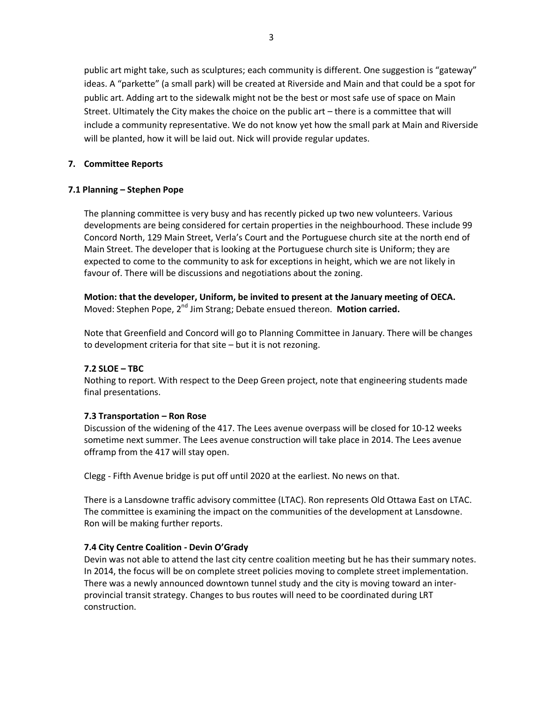public art might take, such as sculptures; each community is different. One suggestion is "gateway" ideas. A "parkette" (a small park) will be created at Riverside and Main and that could be a spot for public art. Adding art to the sidewalk might not be the best or most safe use of space on Main Street. Ultimately the City makes the choice on the public art – there is a committee that will include a community representative. We do not know yet how the small park at Main and Riverside will be planted, how it will be laid out. Nick will provide regular updates.

### **7. Committee Reports**

### **7.1 Planning – Stephen Pope**

The planning committee is very busy and has recently picked up two new volunteers. Various developments are being considered for certain properties in the neighbourhood. These include 99 Concord North, 129 Main Street, Verla's Court and the Portuguese church site at the north end of Main Street. The developer that is looking at the Portuguese church site is Uniform; they are expected to come to the community to ask for exceptions in height, which we are not likely in favour of. There will be discussions and negotiations about the zoning.

**Motion: that the developer, Uniform, be invited to present at the January meeting of OECA.** Moved: Stephen Pope, 2<sup>nd</sup> Jim Strang; Debate ensued thereon. **Motion carried.** 

Note that Greenfield and Concord will go to Planning Committee in January. There will be changes to development criteria for that site – but it is not rezoning.

### **7.2 SLOE – TBC**

Nothing to report. With respect to the Deep Green project, note that engineering students made final presentations.

### **7.3 Transportation – Ron Rose**

Discussion of the widening of the 417. The Lees avenue overpass will be closed for 10-12 weeks sometime next summer. The Lees avenue construction will take place in 2014. The Lees avenue offramp from the 417 will stay open.

Clegg - Fifth Avenue bridge is put off until 2020 at the earliest. No news on that.

There is a Lansdowne traffic advisory committee (LTAC). Ron represents Old Ottawa East on LTAC. The committee is examining the impact on the communities of the development at Lansdowne. Ron will be making further reports.

### **7.4 City Centre Coalition - Devin O'Grady**

Devin was not able to attend the last city centre coalition meeting but he has their summary notes. In 2014, the focus will be on complete street policies moving to complete street implementation. There was a newly announced downtown tunnel study and the city is moving toward an interprovincial transit strategy. Changes to bus routes will need to be coordinated during LRT construction.